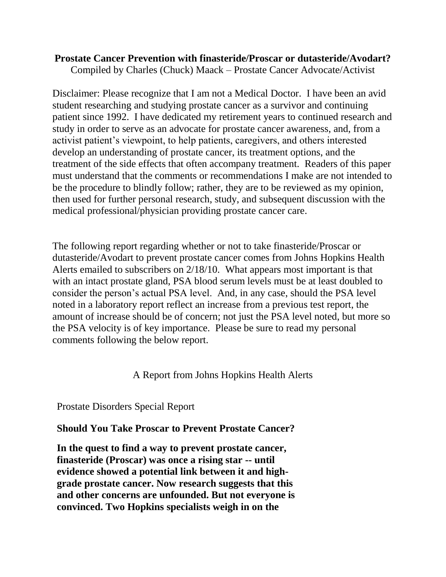## **Prostate Cancer Prevention with finasteride/Proscar or dutasteride/Avodart?**

Compiled by Charles (Chuck) Maack – Prostate Cancer Advocate/Activist

Disclaimer: Please recognize that I am not a Medical Doctor. I have been an avid student researching and studying prostate cancer as a survivor and continuing patient since 1992. I have dedicated my retirement years to continued research and study in order to serve as an advocate for prostate cancer awareness, and, from a activist patient's viewpoint, to help patients, caregivers, and others interested develop an understanding of prostate cancer, its treatment options, and the treatment of the side effects that often accompany treatment. Readers of this paper must understand that the comments or recommendations I make are not intended to be the procedure to blindly follow; rather, they are to be reviewed as my opinion, then used for further personal research, study, and subsequent discussion with the medical professional/physician providing prostate cancer care.

The following report regarding whether or not to take finasteride/Proscar or dutasteride/Avodart to prevent prostate cancer comes from Johns Hopkins Health Alerts emailed to subscribers on 2/18/10. What appears most important is that with an intact prostate gland, PSA blood serum levels must be at least doubled to consider the person's actual PSA level. And, in any case, should the PSA level noted in a laboratory report reflect an increase from a previous test report, the amount of increase should be of concern; not just the PSA level noted, but more so the PSA velocity is of key importance. Please be sure to read my personal comments following the below report.

A Report from Johns Hopkins Health Alerts

Prostate Disorders Special Report

## **Should You Take Proscar to Prevent Prostate Cancer?**

**In the quest to find a way to prevent prostate cancer, finasteride (Proscar) was once a rising star -- until evidence showed a potential link between it and highgrade prostate cancer. Now research suggests that this and other concerns are unfounded. But not everyone is convinced. Two Hopkins specialists weigh in on the**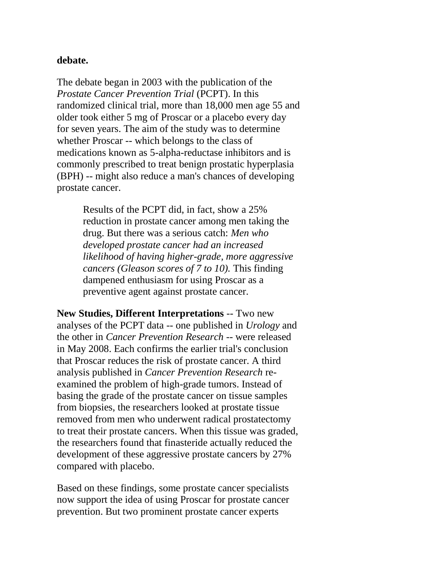## **debate.**

The debate began in 2003 with the publication of the *Prostate Cancer Prevention Trial* (PCPT). In this randomized clinical trial, more than 18,000 men age 55 and older took either 5 mg of Proscar or a placebo every day for seven years. The aim of the study was to determine whether Proscar -- which belongs to the class of medications known as 5-alpha-reductase inhibitors and is commonly prescribed to treat benign prostatic hyperplasia (BPH) -- might also reduce a man's chances of developing prostate cancer.

> Results of the PCPT did, in fact, show a 25% reduction in prostate cancer among men taking the drug. But there was a serious catch: *Men who developed prostate cancer had an increased likelihood of having higher-grade, more aggressive cancers (Gleason scores of 7 to 10).* This finding dampened enthusiasm for using Proscar as a preventive agent against prostate cancer.

**New Studies, Different Interpretations** -- Two new analyses of the PCPT data -- one published in *Urology* and the other in *Cancer Prevention Research* -- were released in May 2008. Each confirms the earlier trial's conclusion that Proscar reduces the risk of prostate cancer. A third analysis published in *Cancer Prevention Research* reexamined the problem of high-grade tumors. Instead of basing the grade of the prostate cancer on tissue samples from biopsies, the researchers looked at prostate tissue removed from men who underwent radical prostatectomy to treat their prostate cancers. When this tissue was graded, the researchers found that finasteride actually reduced the development of these aggressive prostate cancers by 27% compared with placebo.

Based on these findings, some prostate cancer specialists now support the idea of using Proscar for prostate cancer prevention. But two prominent prostate cancer experts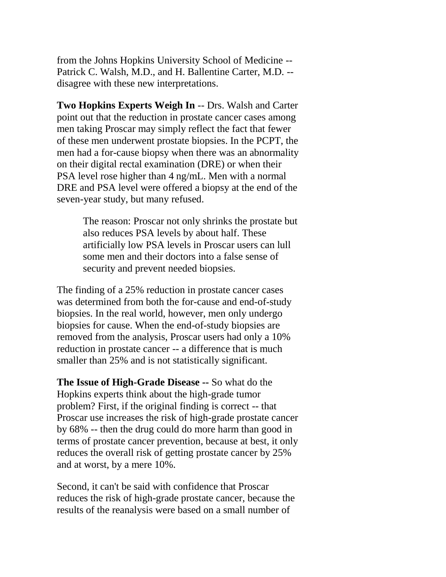from the Johns Hopkins University School of Medicine -- Patrick C. Walsh, M.D., and H. Ballentine Carter, M.D. - disagree with these new interpretations.

**Two Hopkins Experts Weigh In** -- Drs. Walsh and Carter point out that the reduction in prostate cancer cases among men taking Proscar may simply reflect the fact that fewer of these men underwent prostate biopsies. In the PCPT, the men had a for-cause biopsy when there was an abnormality on their digital rectal examination (DRE) or when their PSA level rose higher than 4 ng/mL. Men with a normal DRE and PSA level were offered a biopsy at the end of the seven-year study, but many refused.

> The reason: Proscar not only shrinks the prostate but also reduces PSA levels by about half. These artificially low PSA levels in Proscar users can lull some men and their doctors into a false sense of security and prevent needed biopsies.

The finding of a 25% reduction in prostate cancer cases was determined from both the for-cause and end-of-study biopsies. In the real world, however, men only undergo biopsies for cause. When the end-of-study biopsies are removed from the analysis, Proscar users had only a 10% reduction in prostate cancer -- a difference that is much smaller than 25% and is not statistically significant.

**The Issue of High-Grade Disease --** So what do the Hopkins experts think about the high-grade tumor problem? First, if the original finding is correct -- that Proscar use increases the risk of high-grade prostate cancer by 68% -- then the drug could do more harm than good in terms of prostate cancer prevention, because at best, it only reduces the overall risk of getting prostate cancer by 25% and at worst, by a mere 10%.

Second, it can't be said with confidence that Proscar reduces the risk of high-grade prostate cancer, because the results of the reanalysis were based on a small number of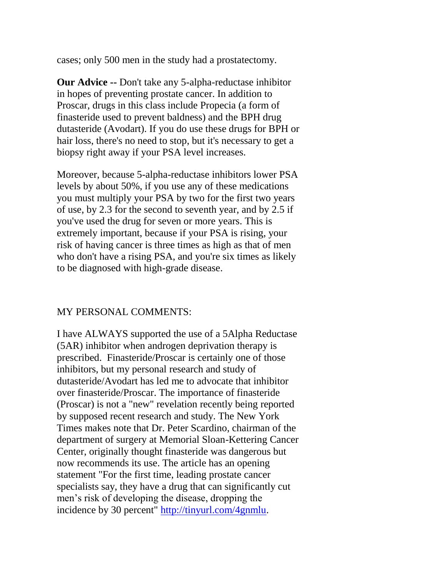cases; only 500 men in the study had a prostatectomy.

**Our Advice --** Don't take any 5-alpha-reductase inhibitor in hopes of preventing prostate cancer. In addition to Proscar, drugs in this class include Propecia (a form of finasteride used to prevent baldness) and the BPH drug dutasteride (Avodart). If you do use these drugs for BPH or hair loss, there's no need to stop, but it's necessary to get a biopsy right away if your PSA level increases.

Moreover, because 5-alpha-reductase inhibitors lower PSA levels by about 50%, if you use any of these medications you must multiply your PSA by two for the first two years of use, by 2.3 for the second to seventh year, and by 2.5 if you've used the drug for seven or more years. This is extremely important, because if your PSA is rising, your risk of having cancer is three times as high as that of men who don't have a rising PSA, and you're six times as likely to be diagnosed with high-grade disease.

## MY PERSONAL COMMENTS:

I have ALWAYS supported the use of a 5Alpha Reductase (5AR) inhibitor when androgen deprivation therapy is prescribed. Finasteride/Proscar is certainly one of those inhibitors, but my personal research and study of dutasteride/Avodart has led me to advocate that inhibitor over finasteride/Proscar. The importance of finasteride (Proscar) is not a "new" revelation recently being reported by supposed recent research and study. The New York Times makes note that Dr. Peter Scardino, chairman of the department of surgery at Memorial Sloan-Kettering Cancer Center, originally thought finasteride was dangerous but now recommends its use. The article has an opening statement "For the first time, leading prostate cancer specialists say, they have a drug that can significantly cut men's risk of developing the disease, dropping the incidence by 30 percent" [http://tinyurl.com/4gnmlu.](http://tinyurl.com/4gnmlu)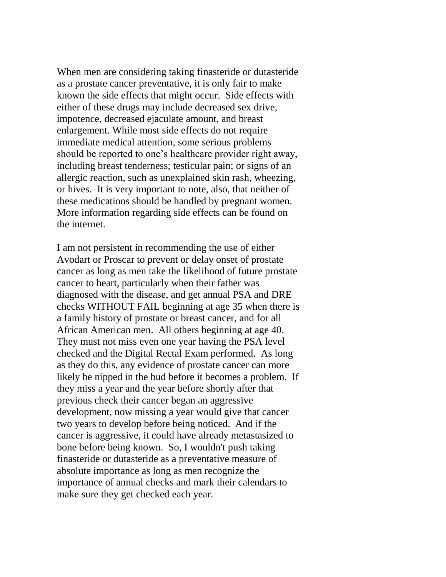When men are considering taking finasteride or dutasteride as a prostate cancer preventative, it is only fair to make known the side effects that might occur. Side effects with either of these drugs may include decreased sex drive, impotence, decreased ejaculate amount, and breast enlargement. While most side effects do not require immediate medical attention, some serious problems should be reported to one's healthcare provider right away, including breast tenderness; testicular pain; or signs of an allergic reaction, such as unexplained skin rash, wheezing, or hives. It is very important to note, also, that neither of these medications should be handled by pregnant women. More information regarding side effects can be found on the internet.

I am not persistent in recommending the use of either Avodart or Proscar to prevent or delay onset of prostate cancer as long as men take the likelihood of future prostate cancer to heart, particularly when their father was diagnosed with the disease, and get annual PSA and DRE checks WITHOUT FAIL beginning at age 35 when there is a family history of prostate or breast cancer, and for all African American men. All others beginning at age 40. They must not miss even one year having the PSA level checked and the Digital Rectal Exam performed. As long as they do this, any evidence of prostate cancer can more likely be nipped in the bud before it becomes a problem. If they miss a year and the year before shortly after that previous check their cancer began an aggressive development, now missing a year would give that cancer two years to develop before being noticed. And if the cancer is aggressive, it could have already metastasized to bone before being known. So, I wouldn't push taking finasteride or dutasteride as a preventative measure of absolute importance as long as men recognize the importance of annual checks and mark their calendars to make sure they get checked each year.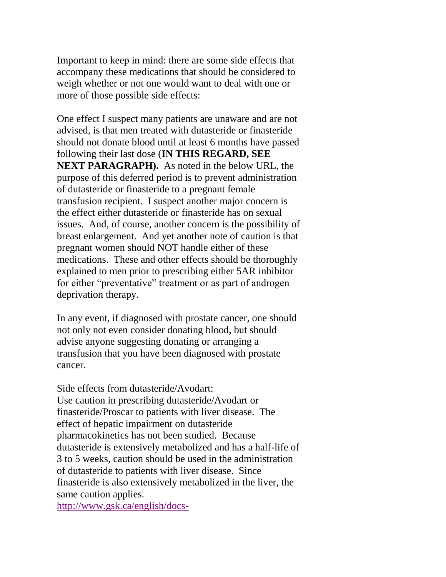Important to keep in mind: there are some side effects that accompany these medications that should be considered to weigh whether or not one would want to deal with one or more of those possible side effects:

One effect I suspect many patients are unaware and are not advised, is that men treated with dutasteride or finasteride should not donate blood until at least 6 months have passed following their last dose (**IN THIS REGARD, SEE NEXT PARAGRAPH).** As noted in the below URL, the purpose of this deferred period is to prevent administration of dutasteride or finasteride to a pregnant female transfusion recipient. I suspect another major concern is the effect either dutasteride or finasteride has on sexual issues. And, of course, another concern is the possibility of breast enlargement. And yet another note of caution is that pregnant women should NOT handle either of these medications. These and other effects should be thoroughly explained to men prior to prescribing either 5AR inhibitor for either "preventative" treatment or as part of androgen deprivation therapy.

In any event, if diagnosed with prostate cancer, one should not only not even consider donating blood, but should advise anyone suggesting donating or arranging a transfusion that you have been diagnosed with prostate cancer.

Side effects from dutasteride/Avodart: Use caution in prescribing dutasteride/Avodart or finasteride/Proscar to patients with liver disease. The effect of hepatic impairment on dutasteride pharmacokinetics has not been studied. Because dutasteride is extensively metabolized and has a half-life of 3 to 5 weeks, caution should be used in the administration of dutasteride to patients with liver disease. Since finasteride is also extensively metabolized in the liver, the same caution applies.

[http://www.gsk.ca/english/docs-](http://www.gsk.ca/english/docs-pdf/Avodart_PM_20081223_EN.pdf)